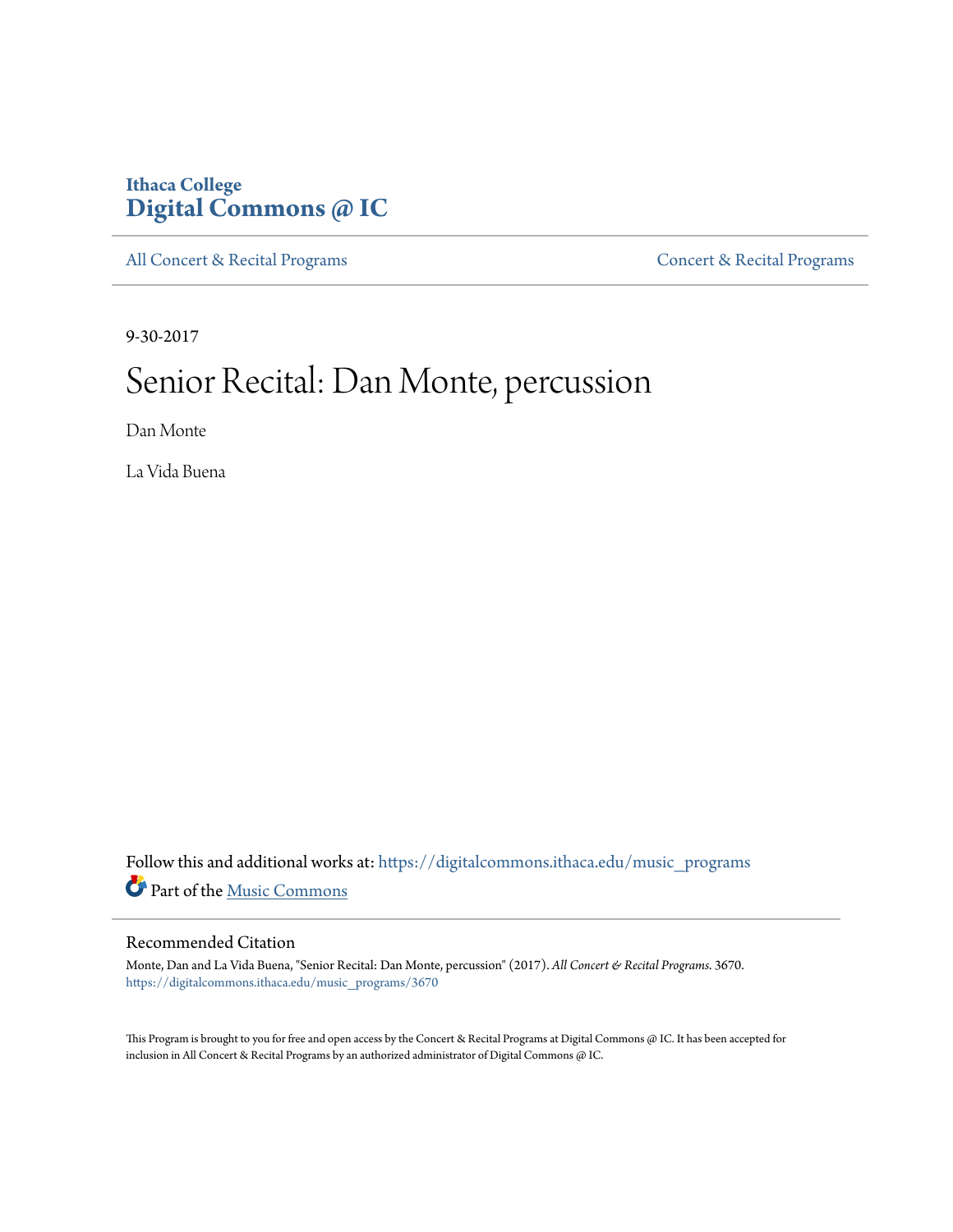### **Ithaca College [Digital Commons @ IC](https://digitalcommons.ithaca.edu?utm_source=digitalcommons.ithaca.edu%2Fmusic_programs%2F3670&utm_medium=PDF&utm_campaign=PDFCoverPages)**

[All Concert & Recital Programs](https://digitalcommons.ithaca.edu/music_programs?utm_source=digitalcommons.ithaca.edu%2Fmusic_programs%2F3670&utm_medium=PDF&utm_campaign=PDFCoverPages) **[Concert & Recital Programs](https://digitalcommons.ithaca.edu/som_programs?utm_source=digitalcommons.ithaca.edu%2Fmusic_programs%2F3670&utm_medium=PDF&utm_campaign=PDFCoverPages)** 

9-30-2017

# Senior Recital: Dan Monte, percussion

Dan Monte

La Vida Buena

Follow this and additional works at: [https://digitalcommons.ithaca.edu/music\\_programs](https://digitalcommons.ithaca.edu/music_programs?utm_source=digitalcommons.ithaca.edu%2Fmusic_programs%2F3670&utm_medium=PDF&utm_campaign=PDFCoverPages) Part of the [Music Commons](http://network.bepress.com/hgg/discipline/518?utm_source=digitalcommons.ithaca.edu%2Fmusic_programs%2F3670&utm_medium=PDF&utm_campaign=PDFCoverPages)

#### Recommended Citation

Monte, Dan and La Vida Buena, "Senior Recital: Dan Monte, percussion" (2017). *All Concert & Recital Programs*. 3670. [https://digitalcommons.ithaca.edu/music\\_programs/3670](https://digitalcommons.ithaca.edu/music_programs/3670?utm_source=digitalcommons.ithaca.edu%2Fmusic_programs%2F3670&utm_medium=PDF&utm_campaign=PDFCoverPages)

This Program is brought to you for free and open access by the Concert & Recital Programs at Digital Commons @ IC. It has been accepted for inclusion in All Concert & Recital Programs by an authorized administrator of Digital Commons @ IC.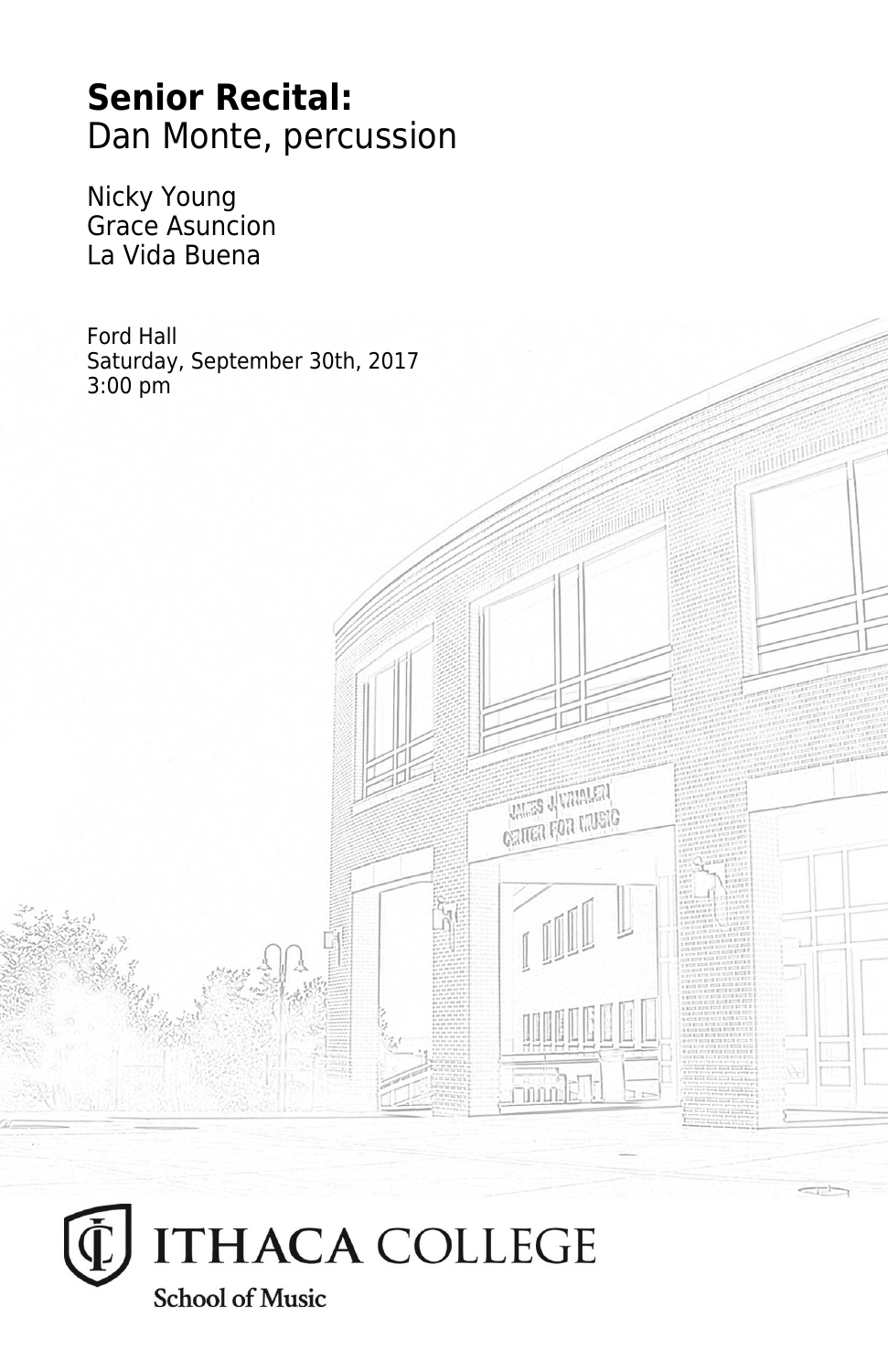## **Senior Recital:** Dan Monte, percussion

Nicky Young Grace Asuncion La Vida Buena

Ford Hall Saturday, September 30th, 2017 3:00 pm

**THES JUVANIEN CRITER FOR MUSIC** 

**Thum**